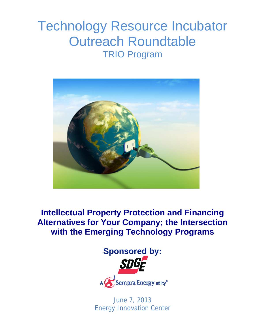# Technology Resource Incubator Outreach Roundtable TRIO Program



**Intellectual Property Protection and Financing Alternatives for Your Company; the Intersection with the Emerging Technology Programs** 



June 7, 2013 Energy Innovation Center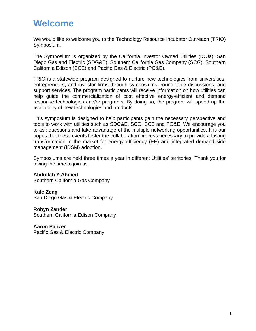### **Welcome**

We would like to welcome you to the Technology Resource Incubator Outreach (TRIO) Symposium.

The Symposium is organized by the California Investor Owned Utilities (IOUs): San Diego Gas and Electric (SDG&E), Southern California Gas Company (SCG), Southern California Edison (SCE) and Pacific Gas & Electric (PG&E).

TRIO is a statewide program designed to nurture new technologies from universities, entrepreneurs, and investor firms through symposiums, round table discussions, and support services. The program participants will receive information on how utilities can help guide the commercialization of cost effective energy-efficient and demand response technologies and/or programs. By doing so, the program will speed up the availability of new technologies and products.

This symposium is designed to help participants gain the necessary perspective and tools to work with utilities such as SDG&E, SCG, SCE and PG&E. We encourage you to ask questions and take advantage of the multiple networking opportunities. It is our hopes that these events foster the collaboration process necessary to provide a lasting transformation in the market for energy efficiency (EE) and integrated demand side management (IDSM) adoption.

Symposiums are held three times a year in different Utilities' territories. Thank you for taking the time to join us,

**Abdullah Y Ahmed**  Southern California Gas Company

**Kate Zeng**  San Diego Gas & Electric Company

**Robyn Zander**  Southern California Edison Company

**Aaron Panzer**  Pacific Gas & Electric Company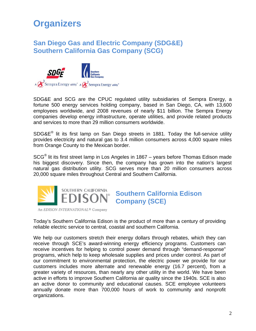# **Organizers**

### **San Diego Gas and Electric Company (SDG&E) Southern California Gas Company (SCG)**



SDG&E and SCG are the CPUC regulated utility subsidiaries of Sempra Energy, a fortune 500 energy services holding company, based in San Diego, CA, with 13,600 employees worldwide, and 2008 revenues of nearly \$11 billion. The Sempra Energy companies develop energy infrastructure, operate utilities, and provide related products and services to more than 29 million consumers worldwide.

SDG&E® lit its first lamp on San Diego streets in 1881. Today the full-service utility provides electricity and natural gas to 3.4 million consumers across 4,000 square miles from Orange County to the Mexican border.

SCG® lit its first street lamp in Los Angeles in 1867 – years before Thomas Edison made his biggest discovery. Since then, the company has grown into the nation's largest natural gas distribution utility. SCG serves more than 20 million consumers across 20,000 square miles throughout Central and Southern California.



**Southern California Edison Company (SCE)** 

An EDISON INTERNATIONAL<sup>®</sup> Company

Today's Southern California Edison is the product of more than a century of providing reliable electric service to central, coastal and southern California.

We help our customers stretch their energy dollars through rebates, which they can receive through SCE's award-winning energy efficiency programs. Customers can receive incentives for helping to control power demand through "demand-response" programs, which help to keep wholesale supplies and prices under control. As part of our commitment to environmental protection, the electric power we provide for our customers includes more alternate and renewable energy (16.7 percent), from a greater variety of resources, than nearly any other utility in the world. We have been active in efforts to improve Southern California air quality since the 1940s. SCE is also an active donor to community and educational causes. SCE employee volunteers annually donate more than 700,000 hours of work to community and nonprofit organizations.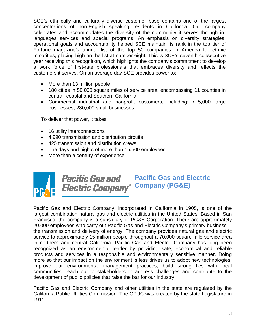SCE's ethnically and culturally diverse customer base contains one of the largest concentrations of non-English speaking residents in California. Our company celebrates and accommodates the diversity of the community it serves through inlanguages services and special programs. An emphasis on diversity strategies, operational goals and accountability helped SCE maintain its rank in the top tier of Fortune magazine's annual list of the top 50 companies in America for ethnic minorities, placing high on the list at number eight. This is SCE's seventh consecutive year receiving this recognition, which highlights the company's commitment to develop a work force of first-rate professionals that embraces diversity and reflects the customers it serves. On an average day SCE provides power to:

- More than 13 million people
- 180 cities in 50,000 square miles of service area, encompassing 11 counties in central, coastal and Southern California
- Commercial industrial and nonprofit customers, including: 5,000 large businesses, 280,000 small businesses

To deliver that power, it takes:

- 16 utility interconnections
- 4,990 transmission and distribution circuits
- 425 transmission and distribution crews
- The days and nights of more than 15,500 employees
- More than a century of experience



**Pacific Gas and Pacific Gas and Electric**  *Electric Company* Company (PG&E)

Pacific Gas and Electric Company, incorporated in California in 1905, is one of the largest combination natural gas and electric utilities in the United States. Based in San Francisco, the company is a subsidiary of PG&E Corporation. There are approximately 20,000 employees who carry out Pacific Gas and Electric Company's primary business the transmission and delivery of energy. The company provides natural gas and electric service to approximately 15 million people throughout a 70,000-square-mile service area in northern and central California. Pacific Gas and Electric Company has long been recognized as an environmental leader by providing safe, economical and reliable products and services in a responsible and environmentally sensitive manner. Doing more so that our impact on the environment is less drives us to adopt new technologies, improve our environmental management practices, build strong ties with local communities, reach out to stakeholders to address challenges and contribute to the development of public policies that raise the bar for our industry.

Pacific Gas and Electric Company and other utilities in the state are regulated by the California Public Utilities Commission. The CPUC was created by the state Legislature in 1911.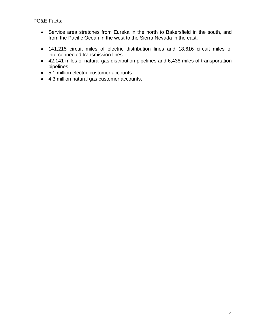PG&E Facts:

- Service area stretches from Eureka in the north to Bakersfield in the south, and from the Pacific Ocean in the west to the Sierra Nevada in the east.
- 141,215 circuit miles of electric distribution lines and 18,616 circuit miles of interconnected transmission lines.
- 42,141 miles of natural gas distribution pipelines and 6,438 miles of transportation pipelines.
- 5.1 million electric customer accounts.
- 4.3 million natural gas customer accounts.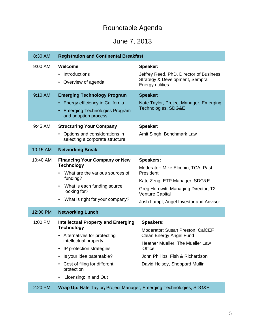### Roundtable Agenda

### June 7, 2013

| 8:30 AM            | <b>Registration and Continental Breakfast</b>                                                                                                                                                                                                                          |                                                                                                                                                                                                                  |
|--------------------|------------------------------------------------------------------------------------------------------------------------------------------------------------------------------------------------------------------------------------------------------------------------|------------------------------------------------------------------------------------------------------------------------------------------------------------------------------------------------------------------|
| 9:00 AM            | Welcome<br>Introductions<br>$\bullet$<br>Overview of agenda                                                                                                                                                                                                            | Speaker:<br>Jeffrey Reed, PhD, Director of Business<br>Strategy & Development, Sempra<br><b>Energy utilities</b>                                                                                                 |
| 9:10 AM<br>9:45 AM | <b>Emerging Technology Program</b><br>Energy efficiency in California<br>$\bullet$<br><b>Emerging Technologies Program</b><br>and adoption process<br><b>Structuring Your Company</b><br>Options and considerations in<br>$\bullet$<br>selecting a corporate structure | <b>Speaker:</b><br>Nate Taylor, Project Manager, Emerging<br>Technologies, SDG&E<br>Speaker:<br>Amit Singh, Benchmark Law                                                                                        |
| 10:15 AM           | <b>Networking Break</b>                                                                                                                                                                                                                                                |                                                                                                                                                                                                                  |
| 10:40 AM           | <b>Financing Your Company or New</b><br><b>Technology</b><br>What are the various sources of<br>funding?<br>What is each funding source<br>$\bullet$<br>looking for?<br>What is right for your company?<br>$\bullet$                                                   | <b>Speakers:</b><br>Moderator: Mike Elconin, TCA, Past<br>President<br>Kate Zeng, ETP Manager, SDG&E<br>Greg Horowitt, Managing Director, T2<br><b>Venture Capital</b><br>Josh Lampl, Angel Investor and Advisor |
| 12:00 PM           | <b>Networking Lunch</b>                                                                                                                                                                                                                                                |                                                                                                                                                                                                                  |
| 1:00 PM            | <b>Intellectual Property and Emerging</b><br><b>Technology</b><br>Alternatives for protecting<br>intellectual property<br>IP protection strategies<br>Is your idea patentable?<br>٠<br>Cost of filing for different<br>protection<br>Licensing: In and Out             | <b>Speakers:</b><br>Moderator: Susan Preston, CalCEF<br>Clean Energy Angel Fund<br>Heather Mueller, The Mueller Law<br>Office<br>John Phillips, Fish & Richardson<br>David Heisey, Sheppard Mullin               |
| 2:20 PM            | Wrap Up: Nate Taylor, Project Manager, Emerging Technologies, SDG&E                                                                                                                                                                                                    |                                                                                                                                                                                                                  |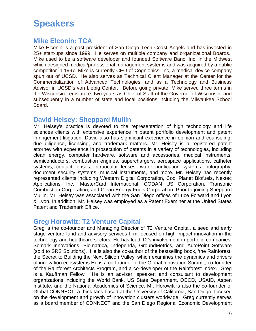### **Speakers**

#### **Mike Elconin: TCA**

Mike Elconin is a past president of San Diego Tech Coast Angels and has invested in 25+ start-ups since 1999. He serves on multiple company and organizational Boards. Mike used to be a software developer and founded Software Banc, Inc. in the Midwest which designed medical/professional management systems and was acquired by a public competitor in 1997. Mike is currently CEO of Cognionics, Inc, a medical device company spun out of UCSD. He also serves as Technical Client Manager at the Center for the Commercialization of Advanced Technologies, and as a Technology and Business Advisor in UCSD's von Liebig Center. Before going private, Mike served three terms in the Wisconsin Legislature, two years as Chief of Staff of the Governor of Wisconsin, and subsequently in a number of state and local positions including the Milwaukee School Board.

#### **David Heisey: Sheppard Mullin**

Mr. Heisey's practice is devoted to the representation of high technology and life sciences clients with extensive experience in patent portfolio development and patent infringement litigation. David also has significant experience in opinion and counseling, due diligence, licensing, and trademark matters. Mr. Heisey is a registered patent attorney with experience in prosecution of patents in a variety of technologies, including clean energy, computer hardware, software and accessories, medical instruments, semiconductors, combustion engines, superchargers, aerospace applications, catheter systems, contact lenses, intraocular lenses, water purification systems, holography, document security systems, musical instruments, and more. Mr. Heisey has recently represented clients including Western Digital Corporation, Cool Planet Biofuels, Nextec Applications, Inc., MasterCard International, CODAN US Corporation, Transonic Combustion Corporation, and Clean Energy Fuels Corporation. Prior to joining Sheppard Mullin, Mr. Heisey was associated with the San Diego offices of Luce Forward and Lyon & Lyon. In addition, Mr. Heisey was employed as a Patent Examiner at the United States Patent and Trademark Office.

#### **Greg Horowitt: T2 Venture Capital**

Greg is the co-founder and Managing Director of T2 Venture Capital, a seed and early stage venture fund and advisory services firm focused on high impact innovation in the technology and healthcare sectors. He has lead T2's involvement in portfolio companies; Somark Innovations, Biomatrica, Independa, GroundMetrics, and AutoPoint Software (sold to SRS Solutions). He is also the co-author of the bestselling book, 'the Rainforest: the Secret to Building the Next Silicon Valley' which examines the dynamics and drivers of innovation ecosystems He is a co-founder of the Global Innovation Summit, co-founder of the Rainforest Architects Program, and a co-developer of the Rainforest Index. Greg is a Kauffman Fellow. He is an adviser, speaker, and consultant to development organizations including the World Bank, US State Department, OECD, USAID, Aspen Institute, and the National Academies of Science. Mr. Horowitt is also the co-founder of Global CONNECT, a think tank based at the University of California, San Diego, focused on the development and growth of innovation clusters worldwide. Greg currently serves as a board member of CONNECT and the San Diego Regional Economic Development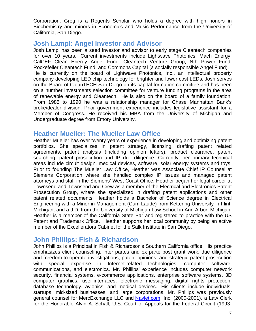Corporation. Greg is a Regents Scholar who holds a degree with high honors in Biochemistry and minors in Economics and Music Performance from the University of California, San Diego.

#### **Josh Lampl: Angel Investor and Advisor**

Josh Lampl has been a seed investor and advisor to early stage Cleantech companies for over 10 years. Current investments include Lightwave Photonics, Mach Energy, CalCEF Clean Energy Angel Fund, Cleantech Venture Group, Nth Power Fund, Rockefeller Cleantech Fund, and Commons Capital (a socially responsible Angel Fund). He is currently on the board of Lightwave Photonics, Inc., an intellectual property company developing LED chip technology for brighter and lower cost LEDs. Josh serves on the Board of CleanTECH San Diego on its capital formation committee and has been on a number investments selection committee for venture funding programs in the area of renewable energy and Cleantech. He is also on the board of a family foundation. From 1985 to 1990 he was a relationship manager for Chase Manhattan Bank's broke/dealer division. Prior government experience includes legislative assistant for a Member of Congress. He received his MBA from the University of Michigan and Undergraduate degree from Emory University.

#### **Heather Mueller: The Mueller Law Office**

Heather Mueller has over twenty years of experience in developing and optimizing patent portfolios. She specializes in patent strategy, licensing, drafting patent related agreements, patent analysis (including opinion letters), product clearance, patent searching, patent prosecution and IP due diligence. Currently, her primary technical areas include circuit design, medical devices, software, solar energy systems and toys. Prior to founding The Mueller Law Office, Heather was Associate Chief IP Counsel at Siemens Corporation where she handled complex IP issues and managed patent attorneys and staff in the Siemens' West Coast Office. Heather began her legal career at Townsend and Townsend and Crew as a member of the Electrical and Electronics Patent Prosecution Group, where she specialized in drafting patent applications and other patent related documents. Heather holds a Bachelor of Science degree in Electrical Engineering with a Minor in Management (Cum Laude) from Kettering University in Flint, Michigan, and a J.D. from the University of Michigan Law School in Ann Arbor, Michigan. Heather is a member of the California State Bar and registered to practice with the US Patent and Trademark Office. Heather supports her local community by being an active member of the Excellerators Cabinet for the Salk Institute in San Diego.

#### **John Phillips: Fish & Richardson**

John Phillips is a Principal in Fish & Richardson's Southern California office. His practice emphasizes client counseling, inter partes and ex parte post grant work, due diligence and freedom-to-operate investigations, patent opinions, and strategic patent prosecution with special expertise in Internet-related technologies, computer software, communications, and electronics. Mr. Phillips' experience includes computer network security, financial systems, e-commerce applications, enterprise software systems, 3D computer graphics, user-interfaces, electronic messaging, digital rights protection, database technology, avionics, and medical devices. His clients include individuals, startups, mid-sized businesses, and large corporations. Mr. Phillips was previously general counsel for MercExchange LLC and **Navlet.com**, Inc. (2000-2001), a Law Clerk for the Honorable Alvin A. Schall, U.S. Court of Appeals for the Federal Circuit (1993-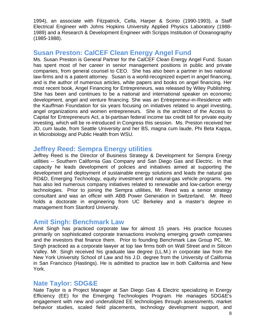1994), an associate with Fitzpatrick, Cella, Harper & Scinto (1990-1993), a Staff Electrical Engineer with Johns Hopkins University Applied Physics Laboratory (1988- 1989) and a Research & Development Engineer with Scripps Institution of Oceanography (1985-1988).

#### **Susan Preston: CalCEF Clean Energy Angel Fund**

Ms. Susan Preston is General Partner for the CalCEF Clean Energy Angel Fund. Susan has spent most of her career in senior management positions in public and private companies, from general counsel to CEO. She has also been a partner in two national law-firms and is a patent attorney. Susan is a world-recognized expert in angel financing, and is the author of numerous articles, white papers and books on angel financing. Her most recent book, Angel Financing for Entrepreneurs, was released by Wiley Publishing. She has been and continues to be a national and international speaker on economic development, angel and venture financing. She was an Entrepreneur-in-Residence with the Kauffman Foundation for six years focusing on initiatives related to angel investing, angel organizations and women entrepreneurs. She is the architect of the Access to Capital for Entrepreneurs Act, a bi-partisan federal income tax credit bill for private equity investing, which will be re-introduced in Congress this session. Ms. Preston received her JD, cum laude, from Seattle University and her BS, magna cum laude, Phi Beta Kappa, in Microbiology and Public Health from WSU.

#### **Jeffrey Reed: Sempra Energy utilities**

Jeffrey Reed is the Director of Business Strategy & Development for Sempra Energy utilities -- Southern California Gas Company and San Diego Gas and Electric. In that capacity he leads development of policies and initiatives aimed at supporting the development and deployment of sustainable energy solutions and leads the natural gas RD&D, Emerging Technology, equity investment and natural-gas vehicle programs. He has also led numerous company initiatives related to renewable and low-carbon energy technologies. Prior to joining the Sempra utilities, Mr. Reed was a senior strategy consultant and was an officer with ABB Power Generation in Switzerland. Mr. Reed holds a doctorate in engineering from UC Berkeley and a master's degree in management from Stanford University.

#### **Amit Singh: Benchmark Law**

Amit Singh has practiced corporate law for almost 15 years. His practice focuses primarily on sophisticated corporate transactions involving emerging growth companies and the investors that finance them. Prior to founding Benchmark Law Group PC, Mr. Singh practiced as a corporate lawyer at top law firms both on Wall Street and in Silicon Valley. Mr. Singh received his graduate law degree (LL.M.) in corporate law from the New York University School of Law and his J.D. degree from the University of California in San Francisco (Hastings). He is admitted to practice law in both California and New York.

#### **Nate Taylor: SDG&E**

Nate Taylor is a Project Manager at San Diego Gas & Electric specializing in Energy Efficiency (EE) for the Emerging Technologies Program. He manages SDG&E's engagement with new and underutilized EE technologies through assessments, market behavior studies, scaled field placements, technology development support, and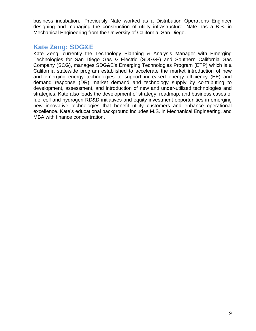business incubation. Previously Nate worked as a Distribution Operations Engineer designing and managing the construction of utility infrastructure. Nate has a B.S. in Mechanical Engineering from the University of California, San Diego.

### **Kate Zeng: SDG&E**

Kate Zeng, currently the Technology Planning & Analysis Manager with Emerging Technologies for San Diego Gas & Electric (SDG&E) and Southern California Gas Company (SCG), manages SDG&E's Emerging Technologies Program (ETP) which is a California statewide program established to accelerate the market introduction of new and emerging energy technologies to support increased energy efficiency (EE) and demand response (DR) market demand and technology supply by contributing to development, assessment, and introduction of new and under-utilized technologies and strategies. Kate also leads the development of strategy, roadmap, and business cases of fuel cell and hydrogen RD&D initiatives and equity investment opportunities in emerging new innovative technologies that benefit utility customers and enhance operational excellence. Kate's educational background includes M.S. in Mechanical Engineering, and MBA with finance concentration.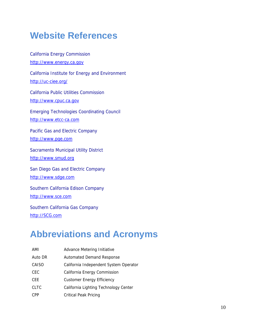## **Website References**

California Energy Commission http://www.energy.ca.gov California Institute for Energy and Environment http://uc-ciee.org/ California Public Utilities Commission http://www.cpuc.ca.gov Emerging Technologies Coordinating Council http://www.etcc-ca.com Pacific Gas and Electric Company http://www.pge.com Sacramento Municipal Utility District http://www.smud.org San Diego Gas and Electric Company http://www.sdge.com Southern California Edison Company http://www.sce.com Southern California Gas Company http://SCG.com

## **Abbreviations and Acronyms**

AMI Advance Metering Initiative Auto DR Automated Demand Response CAISO California Independent System Operator CEC California Energy Commission CEE Customer Energy Efficiency CLTC California Lighting Technology Center CPP Critical Peak Pricing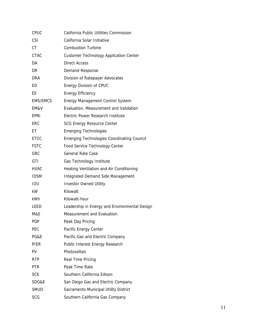| CPUC            | California Public Utilities Commission            |
|-----------------|---------------------------------------------------|
| CSI             | California Solar Initiative                       |
| СT              | <b>Combustion Turbine</b>                         |
| CTAC            | <b>Customer Technology Application Center</b>     |
| DA              | <b>Direct Access</b>                              |
| DR              | Demand Response                                   |
| DRA             | Division of Ratepayer Advocates                   |
| ED              | Energy Division of CPUC                           |
| ЕE              | <b>Energy Efficiency</b>                          |
| <b>EMS/EMCS</b> | <b>Energy Management Control System</b>           |
| EM&V            | Evaluation, Measurement and Validation            |
| EPRI            | Electric Power Research Institute                 |
| ERC             | <b>SCG Energy Resource Center</b>                 |
| EТ              | <b>Emerging Technologies</b>                      |
| <b>ETCC</b>     | <b>Emerging Technologies Coordinating Council</b> |
| <b>FSTC</b>     | Food Service Technology Center                    |
| GRC             | <b>General Rate Case</b>                          |
| GTI             | Gas Technology Institute                          |
| HVAC            | Heating Ventilation and Air Conditioning          |
| <b>IDSM</b>     | Integrated Demand Side Management                 |
| IOU             | <b>Investor Owned Utility</b>                     |
| kW              | Kilowatt                                          |
| kWh             | Kilowatt-hour                                     |
| LEED            | Leadership in Energy and Environmental Design     |
| M&E             | Measurement and Evaluation                        |
| PDP             | Peak Day Pricing                                  |
| PEC             | Pacific Energy Center                             |
| PG&E            | Pacific Gas and Electric Company                  |
| PIER            | Public Interest Energy Research                   |
| PV              | Photovoltaic                                      |
| <b>RTP</b>      | Real Time Pricing                                 |
| PTR             | Peak Time Rate                                    |
| <b>SCE</b>      | Southern California Edison                        |
| SDG&E           | San Diego Gas and Electric Company                |
| <b>SMUD</b>     | Sacramento Municipal Utility District             |
| <b>SCG</b>      | Southern California Gas Company                   |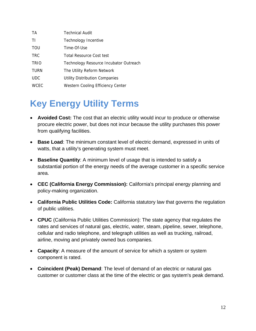| <b>TA</b>   | <b>Technical Audit</b>                 |
|-------------|----------------------------------------|
| ΤI          | Technology Incentive                   |
| <b>TOU</b>  | Time-Of-Use                            |
| <b>TRC</b>  | Total Resource Cost test               |
| <b>TRIO</b> | Technology Resource Incubator Outreach |
| <b>TURN</b> | The Utility Reform Network             |
| <b>UDC</b>  | <b>Utility Distribution Companies</b>  |
| <b>WCEC</b> | Western Cooling Efficiency Center      |

# **Key Energy Utility Terms**

- **Avoided Cost:** The cost that an electric utility would incur to produce or otherwise procure electric power, but does not incur because the utility purchases this power from qualifying facilities.
- **Base Load**: The minimum constant level of electric demand, expressed in units of watts, that a utility's generating system must meet.
- **Baseline Quantity**: A minimum level of usage that is intended to satisfy a substantial portion of the energy needs of the average customer in a specific service area.
- **CEC (California Energy Commission):** California's principal energy planning and policy-making organization.
- **California Public Utilities Code:** California statutory law that governs the regulation of public utilities.
- **CPUC** (California Public Utilities Commission): The state agency that regulates the rates and services of natural gas, electric, water, steam, pipeline, sewer, telephone, cellular and radio telephone, and telegraph utilities as well as trucking, railroad, airline, moving and privately owned bus companies.
- **Capacity**: A measure of the amount of service for which a system or system component is rated.
- **Coincident (Peak) Demand**: The level of demand of an electric or natural gas customer or customer class at the time of the electric or gas system's peak demand.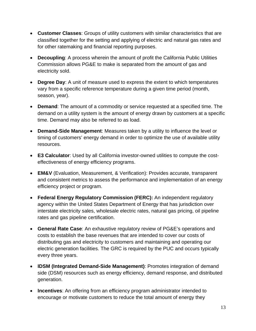- **Customer Classes**: Groups of utility customers with similar characteristics that are classified together for the setting and applying of electric and natural gas rates and for other ratemaking and financial reporting purposes.
- **Decoupling**: A process wherein the amount of profit the California Public Utilities Commission allows PG&E to make is separated from the amount of gas and electricity sold.
- **Degree Day**: A unit of measure used to express the extent to which temperatures vary from a specific reference temperature during a given time period (month, season, year).
- **Demand**: The amount of a commodity or service requested at a specified time. The demand on a utility system is the amount of energy drawn by customers at a specific time. Demand may also be referred to as load.
- **Demand-Side Management**: Measures taken by a utility to influence the level or timing of customers' energy demand in order to optimize the use of available utility resources.
- **E3 Calculator**: Used by all California investor-owned utilities to compute the costeffectiveness of energy efficiency programs.
- **EM&V** (Evaluation, Measurement, & Verification): Provides accurate, transparent and consistent metrics to assess the performance and implementation of an energy efficiency project or program.
- **Federal Energy Regulatory Commission (FERC):** An independent regulatory agency within the United States Department of Energy that has jurisdiction over interstate electricity sales, wholesale electric rates, natural gas pricing, oil pipeline rates and gas pipeline certification.
- **General Rate Case**: An exhaustive regulatory review of PG&E's operations and costs to establish the base revenues that are intended to cover our costs of distributing gas and electricity to customers and maintaining and operating our electric generation facilities. The GRC is required by the PUC and occurs typically every three years.
- **IDSM (Integrated Demand-Side Management)**: Promotes integration of demand side (DSM) resources such as energy efficiency, demand response, and distributed generation.
- **Incentives**: An offering from an efficiency program administrator intended to encourage or motivate customers to reduce the total amount of energy they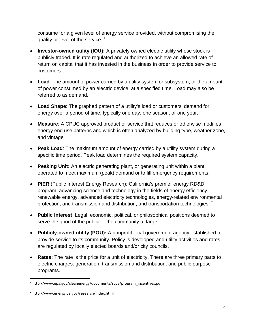consume for a given level of energy service provided, without compromising the quality or level of the service.<sup>1</sup>

- **Investor-owned utility (IOU):** A privately owned electric utility whose stock is publicly traded. It is rate regulated and authorized to achieve an allowed rate of return on capital that it has invested in the business in order to provide service to customers.
- **Load**: The amount of power carried by a utility system or subsystem, or the amount of power consumed by an electric device, at a specified time. Load may also be referred to as demand.
- **Load Shape**: The graphed pattern of a utility's load or customers' demand for energy over a period of time, typically one day, one season, or one year.
- **Measure**: A CPUC approved product or service that reduces or otherwise modifies energy end use patterns and which is often analyzed by building type, weather zone, and vintage
- **Peak Load**: The maximum amount of energy carried by a utility system during a specific time period. Peak load determines the required system capacity.
- **Peaking Unit:** An electric generating plant, or generating unit within a plant, operated to meet maximum (peak) demand or to fill emergency requirements.
- **PIER** (Public Interest Energy Research): California's premier energy RD&D program, advancing science and technology in the fields of energy efficiency, renewable energy, advanced electricity technologies, energy-related environmental protection, and transmission and distribution, and transportation technologies.  $2^2$
- **Public Interest**: Legal, economic, political, or philosophical positions deemed to serve the good of the public or the community at large.
- **Publicly-owned utility (POU):** A nonprofit local government agency established to provide service to its community. Policy is developed and utility activities and rates are regulated by locally elected boards and/or city councils.
- **Rates:** The rate is the price for a unit of electricity. There are three primary parts to electric charges: generation; transmission and distribution; and public purpose programs.

<sup>1</sup>  $1$  http://www.epa.gov/cleanenergy/documents/suca/program\_incentives.pdf

<sup>2</sup> http://www.energy.ca.gov/research/index.html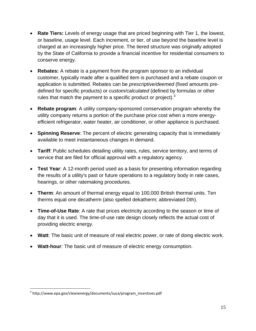- **Rate Tiers:** Levels of energy usage that are priced beginning with Tier 1, the lowest, or baseline, usage level. Each increment, or tier, of use beyond the baseline level is charged at an increasingly higher price. The tiered structure was originally adopted by the State of California to provide a financial incentive for residential consumers to conserve energy.
- **Rebates:** A rebate is a payment from the program sponsor to an individual customer, typically made after a qualified item is purchased and a rebate coupon or application is submitted. Rebates can be *prescriptive/deemed* (fixed amounts predefined for specific products) or *custom/calculated* (defined by formulas or other rules that match the payment to a specific product or project). $3$
- **Rebate program**: A utility company-sponsored conservation program whereby the utility company returns a portion of the purchase price cost when a more energyefficient refrigerator, water heater, air conditioner, or other appliance is purchased.
- **Spinning Reserve**: The percent of electric generating capacity that is immediately available to meet instantaneous changes in demand.
- **Tariff**: Public schedules detailing utility rates, rules, service territory, and terms of service that are filed for official approval with a regulatory agency.
- **Test Year**: A 12-month period used as a basis for presenting information regarding the results of a utility's past or future operations to a regulatory body in rate cases, hearings, or other ratemaking procedures.
- **Therm**: An amount of thermal energy equal to 100,000 British thermal units. Ten therms equal one decatherm (also spelled dekatherm; abbreviated Dth).
- **Time-of-Use Rate**: A rate that prices electricity according to the season or time of day that it is used. The time-of-use rate design closely reflects the actual cost of providing electric energy.
- **Watt**: The basic unit of measure of real electric power, or rate of doing electric work.
- **Watt-hour**: The basic unit of measure of electric energy consumption.

 $\overline{a}$ 

<sup>&</sup>lt;sup>3</sup> http://www.epa.gov/cleanenergy/documents/suca/program\_incentives.pdf